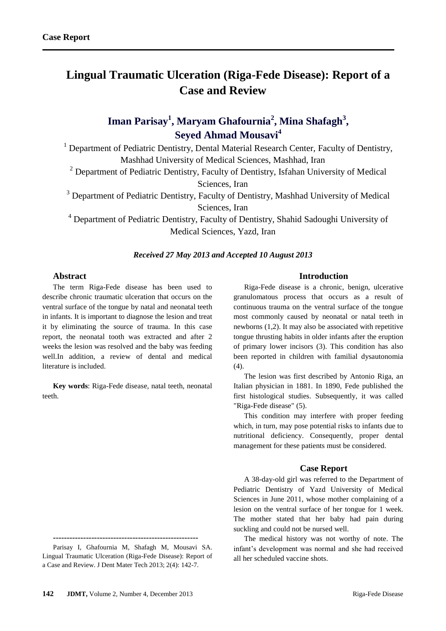# **Lingual Traumatic Ulceration (Riga-Fede Disease): Report of a Case and Review**

## **Iman Parisay<sup>1</sup> , Maryam Ghafournia<sup>2</sup> , Mina Shafagh<sup>3</sup> , Seyed Ahmad Mousavi<sup>4</sup>**

<sup>1</sup> Department of Pediatric Dentistry, Dental Material Research Center, Faculty of Dentistry, Mashhad University of Medical Sciences, Mashhad, Iran

<sup>2</sup> Department of Pediatric Dentistry, Faculty of Dentistry, Isfahan University of Medical Sciences, Iran

<sup>3</sup> Department of Pediatric Dentistry, Faculty of Dentistry, Mashhad University of Medical Sciences, Iran

<sup>4</sup> Department of Pediatric Dentistry, Faculty of Dentistry, Shahid Sadoughi University of Medical Sciences, Yazd, Iran

## *Received 27 May 2013 and Accepted 10 August 2013*

## **Abstract**

The term Riga-Fede disease has been used to describe chronic traumatic ulceration that occurs on the ventral surface of the tongue by natal and neonatal teeth in infants. It is important to diagnose the lesion and treat it by eliminating the source of trauma. In this case report, the neonatal tooth was extracted and after 2 weeks the lesion was resolved and the baby was feeding well.In addition, a review of dental and medical literature is included.

**Key words**: Riga-Fede disease, natal teeth, neonatal teeth.

Parisay I, Ghafournia M, Shafagh M, Mousavi SA. Lingual Traumatic Ulceration (Riga-Fede Disease): Report of a Case and Review. J Dent Mater Tech 2013; 2(4): 142-7.

**-----------------------------------------------------**

## **Introduction**

Riga-Fede disease is a chronic, benign, ulcerative granulomatous process that occurs as a result of continuous trauma on the ventral surface of the tongue most commonly caused by neonatal or natal teeth in newborns (1,2). It may also be associated with repetitive tongue thrusting habits in older infants after the eruption of primary lower incisors (3). This condition has also been reported in children with familial dysautonomia  $(4)$ .

The lesion was first described by Antonio Riga, an Italian physician in 1881. In 1890, Fede published the first histological studies. Subsequently, it was called "Riga-Fede disease" (5).

This condition may interfere with proper feeding which, in turn, may pose potential risks to infants due to nutritional deficiency. Consequently, proper dental management for these patients must be considered.

### **Case Report**

A 38-day-old girl was referred to the Department of Pediatric Dentistry of Yazd University of Medical Sciences in June 2011, whose mother complaining of a lesion on the ventral surface of her tongue for 1 week. The mother stated that her baby had pain during suckling and could not be nursed well.

The medical history was not worthy of note. The infant's development was normal and she had received all her scheduled vaccine shots.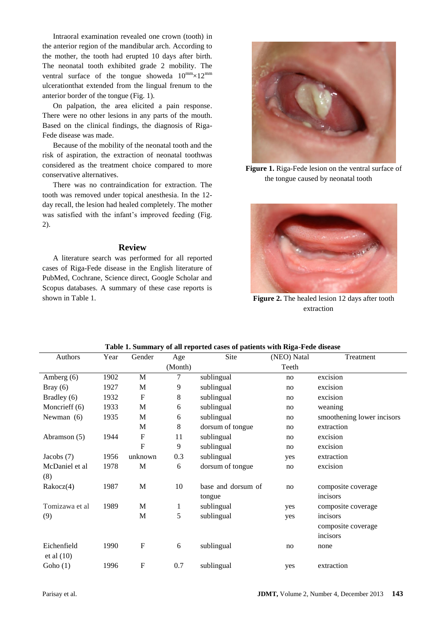Intraoral examination revealed one crown (tooth) in the anterior region of the mandibular arch. According to the mother, the tooth had erupted 10 days after birth. The neonatal tooth exhibited grade 2 mobility. The ventral surface of the tongue showeda  $10^{mm} \times 12^{mm}$ ulcerationthat extended from the lingual frenum to the anterior border of the tongue (Fig. 1).

On palpation, the area elicited a pain response. There were no other lesions in any parts of the mouth. Based on the clinical findings, the diagnosis of Riga-Fede disease was made.

Because of the mobility of the neonatal tooth and the risk of aspiration, the extraction of neonatal toothwas considered as the treatment choice compared to more conservative alternatives.

There was no contraindication for extraction. The tooth was removed under topical anesthesia. In the 12 day recall, the lesion had healed completely. The mother was satisfied with the infant's improved feeding (Fig. 2).

#### **Review**

A literature search was performed for all reported cases of Riga-Fede disease in the English literature of PubMed, Cochrane, Science direct, Google Scholar and Scopus databases. A summary of these case reports is shown in Table 1.



**Figure 1.** Riga-Fede lesion on the ventral surface of the tongue caused by neonatal tooth



**Figure 2.** The healed lesion 12 days after tooth extraction

| Authors        | Year | Gender                    | Age          | Site               | (NEO) Natal | Treatment                  |
|----------------|------|---------------------------|--------------|--------------------|-------------|----------------------------|
|                |      |                           | (Month)      |                    | Teeth       |                            |
| Amberg $(6)$   | 1902 | M                         | 7            | sublingual         | no          | excision                   |
| Bray $(6)$     | 1927 | M                         | 9            | sublingual         | no          | excision                   |
| Bradley (6)    | 1932 | F                         | 8            | sublingual         | no          | excision                   |
| Moncrieff (6)  | 1933 | M                         | 6            | sublingual         | no          | weaning                    |
| Newman (6)     | 1935 | M                         | 6            | sublingual         | no          | smoothening lower incisors |
|                |      | M                         | 8            | dorsum of tongue   | no          | extraction                 |
| Abramson (5)   | 1944 | $\mathbf{F}$              | 11           | sublingual         | no          | excision                   |
|                |      | $\mathbf F$               | 9            | sublingual         | no          | excision                   |
| Jacobs $(7)$   | 1956 | unknown                   | 0.3          | sublingual         | yes         | extraction                 |
| McDaniel et al | 1978 | M                         | 6            | dorsum of tongue   | no          | excision                   |
| (8)            |      |                           |              |                    |             |                            |
| Rakocz(4)      | 1987 | $\mathbf M$               | 10           | base and dorsum of | no          | composite coverage         |
|                |      |                           |              | tongue             |             | incisors                   |
| Tomizawa et al | 1989 | $\mathbf M$               | $\mathbf{1}$ | sublingual         | yes         | composite coverage         |
| (9)            |      | M                         | 5            | sublingual         | yes         | incisors                   |
|                |      |                           |              |                    |             | composite coverage         |
|                |      |                           |              |                    |             | incisors                   |
| Eichenfield    | 1990 | $\boldsymbol{\mathrm{F}}$ | 6            | sublingual         | no          | none                       |
| et al $(10)$   |      |                           |              |                    |             |                            |
| Goho $(1)$     | 1996 | $\mathbf F$               | 0.7          | sublingual         | yes         | extraction                 |

#### **Table 1. Summary of all reported cases of patients with Riga-Fede disease**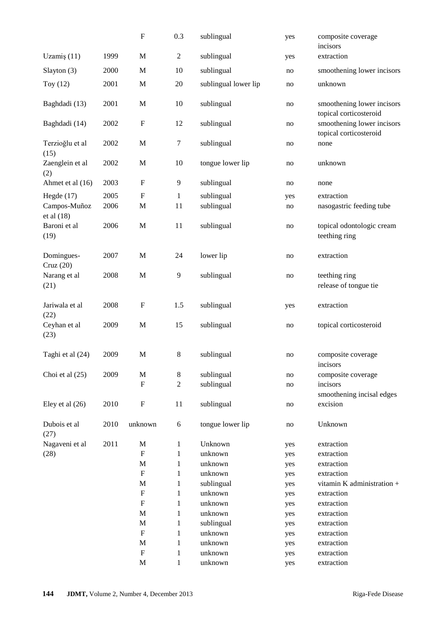|                              |      | $\boldsymbol{\mathrm{F}}$ | 0.3            | sublingual           | yes | composite coverage<br>incisors                       |
|------------------------------|------|---------------------------|----------------|----------------------|-----|------------------------------------------------------|
| Uzamiş $(11)$                | 1999 | M                         | $\overline{c}$ | sublingual           | yes | extraction                                           |
| Slayton (3)                  | 2000 | $\mathbf M$               | 10             | sublingual           | no  | smoothening lower incisors                           |
| Toy $(12)$                   | 2001 | $\mathbf M$               | 20             | sublingual lower lip | no  | unknown                                              |
| Baghdadi (13)                | 2001 | $\mathbf M$               | 10             | sublingual           | no  | smoothening lower incisors<br>topical corticosteroid |
| Baghdadi (14)                | 2002 | $\mathbf F$               | 12             | sublingual           | no  | smoothening lower incisors<br>topical corticosteroid |
| Terzioğlu et al<br>(15)      | 2002 | $\mathbf{M}$              | $\tau$         | sublingual           | no  | none                                                 |
| Zaenglein et al<br>(2)       | 2002 | M                         | 10             | tongue lower lip     | no  | unknown                                              |
| Ahmet et al (16)             | 2003 | $\boldsymbol{\mathrm{F}}$ | $\overline{9}$ | sublingual           | no  | none                                                 |
| Hegde $(17)$                 | 2005 | $\mathbf F$               | $\mathbf{1}$   | sublingual           | yes | extraction                                           |
| Campos-Muñoz<br>et al $(18)$ | 2006 | $\mathbf M$               | 11             | sublingual           | no  | nasogastric feeding tube                             |
| Baroni et al<br>(19)         | 2006 | M                         | 11             | sublingual           | no  | topical odontologic cream<br>teething ring           |
| Domingues-<br>Cruz(20)       | 2007 | M                         | 24             | lower lip            | no  | extraction                                           |
| Narang et al<br>(21)         | 2008 | $\mathbf M$               | 9              | sublingual           | no  | teething ring<br>release of tongue tie               |
| Jariwala et al<br>(22)       | 2008 | $\boldsymbol{\mathrm{F}}$ | 1.5            | sublingual           | yes | extraction                                           |
| Ceyhan et al<br>(23)         | 2009 | M                         | 15             | sublingual           | no  | topical corticosteroid                               |
| Taghi et al (24)             | 2009 | $\mathbf M$               | 8              | sublingual           | no  | composite coverage<br>incisors                       |
| Choi et al $(25)$            | 2009 | $\mathbf M$               | 8              | sublingual           | no  | composite coverage                                   |
|                              |      | $\mathbf F$               | 2              | sublingual           | no  | incisors<br>smoothening incisal edges                |
| Eley et al $(26)$            | 2010 | $\boldsymbol{\mathrm{F}}$ | 11             | sublingual           | no  | excision                                             |
| Dubois et al<br>(27)         | 2010 | unknown                   | 6              | tongue lower lip     | no  | Unknown                                              |
| Nagaveni et al               | 2011 | $\mathbf M$               | $\mathbf{1}$   | Unknown              | yes | extraction                                           |
| (28)                         |      | $\boldsymbol{\mathrm{F}}$ | 1              | unknown              | yes | extraction                                           |
|                              |      | $\mathbf M$               | 1              | unknown              | yes | extraction                                           |
|                              |      | $\mathbf F$               | 1              | unknown              | yes | extraction                                           |
|                              |      | $\mathbf M$               | 1              | sublingual           | yes | vitamin K administration +                           |
|                              |      | ${\bf F}$                 | 1              | unknown              | yes | extraction                                           |
|                              |      | $\mathbf F$               | 1              | unknown              | yes | extraction                                           |
|                              |      | $\mathbf M$               | 1              | unknown              | yes | extraction                                           |
|                              |      | $\mathbf M$               | 1              | sublingual           | yes | extraction                                           |
|                              |      | ${\bf F}$                 | $\mathbf{1}$   | unknown              | yes | extraction                                           |
|                              |      | $\mathbf M$               | 1              | unknown              | yes | extraction                                           |
|                              |      | $\mathbf{F}$              | 1              | unknown              | yes | extraction                                           |
|                              |      | $\mathbf M$               | $\mathbf{1}$   | unknown              | yes | extraction                                           |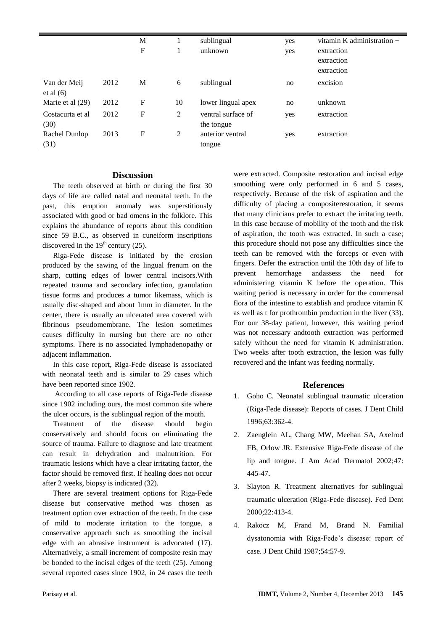|                             |      | M<br>F |                | sublingual<br>unknown            | yes<br>yes | vitamin K administration $+$<br>extraction<br>extraction<br>extraction |
|-----------------------------|------|--------|----------------|----------------------------------|------------|------------------------------------------------------------------------|
| Van der Meij<br>et al $(6)$ | 2012 | M      | 6              | sublingual                       | no         | excision                                                               |
| Marie et al $(29)$          | 2012 | F      | 10             | lower lingual apex               | no         | unknown                                                                |
| Costacurta et al<br>(30)    | 2012 | F      | 2              | ventral surface of<br>the tongue | yes        | extraction                                                             |
| Rachel Dunlop<br>(31)       | 2013 | F      | $\overline{c}$ | anterior ventral<br>tongue       | yes        | extraction                                                             |

## **Discussion**

The teeth observed at birth or during the first 30 days of life are called natal and neonatal teeth. In the past, this eruption anomaly was superstitiously associated with good or bad omens in the folklore. This explains the abundance of reports about this condition since 59 B.C., as observed in cuneiform inscriptions discovered in the  $19<sup>th</sup>$  century (25).

Riga-Fede disease is initiated by the erosion produced by the sawing of the lingual frenum on the sharp, cutting edges of lower central incisors.With repeated trauma and secondary infection, granulation tissue forms and produces a tumor likemass, which is usually disc-shaped and about 1mm in diameter. In the center, there is usually an ulcerated area covered with fibrinous pseudomembrane. The lesion sometimes causes difficulty in nursing but there are no other symptoms. There is no associated lymphadenopathy or adjacent inflammation.

In this case report, Riga-Fede disease is associated with neonatal teeth and is similar to 29 cases which have been reported since 1902.

According to all case reports of Riga-Fede disease since 1902 including ours, the most common site where the ulcer occurs, is the sublingual region of the mouth.

Treatment of the disease should begin conservatively and should focus on eliminating the source of trauma. Failure to diagnose and late treatment can result in dehydration and malnutrition. For traumatic lesions which have a clear irritating factor, the factor should be removed first. If healing does not occur after 2 weeks, biopsy is indicated (32).

There are several treatment options for Riga-Fede disease but conservative method was chosen as treatment option over extraction of the teeth. In the case of mild to moderate irritation to the tongue, a conservative approach such as smoothing the incisal edge with an abrasive instrument is advocated (17). Alternatively, a small increment of composite resin may be bonded to the incisal edges of the teeth (25). Among several reported cases since 1902, in 24 cases the teeth were extracted. Composite restoration and incisal edge smoothing were only performed in 6 and 5 cases, respectively. Because of the risk of aspiration and the difficulty of placing a compositerestoration, it seems that many clinicians prefer to extract the irritating teeth. In this case because of mobility of the tooth and the risk of aspiration, the tooth was extracted. In such a case; this procedure should not pose any difficulties since the teeth can be removed with the forceps or even with fingers. Defer the extraction until the 10th day of life to prevent hemorrhage andassess the need for administering vitamin K before the operation. This waiting period is necessary in order for the commensal flora of the intestine to establish and produce vitamin K as well as t for prothrombin production in the liver (33). For our 38-day patient, however, this waiting period was not necessary andtooth extraction was performed safely without the need for vitamin K administration. Two weeks after tooth extraction, the lesion was fully recovered and the infant was feeding normally.

## **References**

- 1. Goho C. Neonatal sublingual traumatic ulceration (Riga-Fede disease): Reports of cases. J Dent Child 1996;63:362-4.
- 2. Zaenglein AL, Chang MW, Meehan SA, Axelrod FB, Orlow JR. Extensive Riga-Fede disease of the lip and tongue. J Am Acad Dermatol 2002;47: 445-47.
- 3. Slayton R. Treatment alternatives for sublingual traumatic ulceration (Riga-Fede disease). Fed Dent 2000;22:413-4.
- 4. Rakocz M, Frand M, Brand N. Familial dysatonomia with Riga-Fede's disease: report of case. J Dent Child 1987;54:57-9.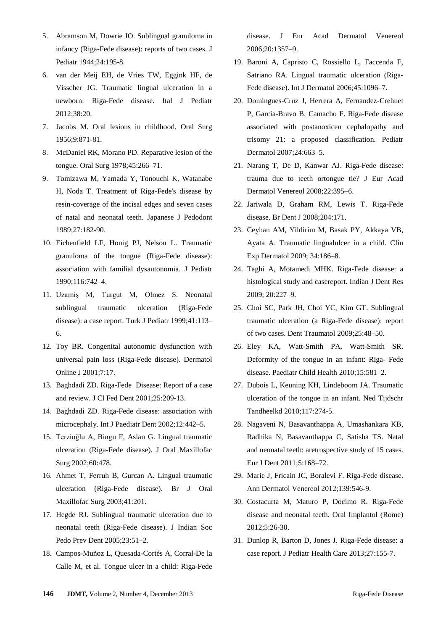- 5. Abramson M, Dowrie JO. Sublingual granuloma in infancy (Riga-Fede disease): reports of two cases. J Pediatr 1944;24:195-8.
- 6. van der Meij EH, de Vries TW, Eggink HF, de Visscher JG. Traumatic lingual ulceration in a newborn: Riga-Fede disease. Ital J Pediatr 2012;38:20.
- 7. Jacobs M. Oral lesions in childhood. Oral Surg 1956;9:871-81.
- 8. McDaniel RK, Morano PD. Reparative lesion of the tongue. Oral Surg 1978;45:266–71.
- 9. [Tomizawa M,](http://europepmc.org/search/?page=1&query=AUTH:%22Tomizawa+M%22) [Yamada Y,](http://europepmc.org/search/?page=1&query=AUTH:%22Yamada+Y%22) [Tonouchi K,](http://europepmc.org/search/?page=1&query=AUTH:%22Tonouchi+K%22) [Watanabe](http://europepmc.org/search/?page=1&query=AUTH:%22Watanabe+H%22)  [H,](http://europepmc.org/search/?page=1&query=AUTH:%22Watanabe+H%22) [Noda](http://europepmc.org/search/?page=1&query=AUTH:%22Noda+T%22) T. Treatment of Riga-Fede's disease by resin-coverage of the incisal edges and seven cases of natal and neonatal teeth. [Japanese J Pedodont](http://europepmc.org/search/?page=1&query=ISSN:%220583-1199%22) 1989;27:182-90.
- 10. Eichenfield LF, Honig PJ, Nelson L. Traumatic granuloma of the tongue (Riga-Fede disease): association with familial dysautonomia. J Pediatr 1990;116:742–4.
- 11. Uzamiş M, Turgut M, Olmez S. Neonatal sublingual traumatic ulceration (Riga-Fede disease): a case report. Turk J Pediatr 1999;41:113– 6.
- 12. Toy BR. Congenital autonomic dysfunction with universal pain loss (Riga-Fede disease). Dermatol Online J 2001;7:17.
- 13. Baghdadi ZD. Riga-Fede Disease: Report of a case and review. J Cl Fed Dent 2001;25:209-13.
- 14. Baghdadi ZD. Riga-Fede disease: association with microcephaly. Int J Paediatr Dent 2002;12:442–5.
- 15. Terzioğlu A, Bingu F, Aslan G. Lingual traumatic ulceration (Riga-Fede disease). J Oral Maxillofac Surg 2002;60:478.
- 16. Ahmet T, Ferruh B, Gurcan A. Lingual traumatic ulceration (Riga-Fede disease). Br J Oral Maxillofac Surg 2003;41:201.
- 17. Hegde RJ. Sublingual traumatic ulceration due to neonatal teeth (Riga-Fede disease). J Indian Soc Pedo Prev Dent 2005;23:51–2.
- 18. Campos-Muñoz L, Quesada-Cortés A, Corral-De la Calle M, et al. Tongue ulcer in a child: Riga-Fede

disease. J Eur Acad Dermatol Venereol 2006;20:1357–9.

- 19. Baroni A, Capristo C, Rossiello L, Faccenda F, Satriano RA. Lingual traumatic ulceration (Riga-Fede disease). Int J Dermatol 2006;45:1096–7.
- 20. Domingues-Cruz J, Herrera A, Fernandez-Crehuet P, Garcia-Bravo B, Camacho F. Riga-Fede disease associated with postanoxicen cephalopathy and trisomy 21: a proposed classification. Pediatr Dermatol 2007;24:663–5.
- 21. Narang T, De D, Kanwar AJ. Riga-Fede disease: trauma due to teeth ortongue tie? J Eur Acad Dermatol Venereol 2008;22:395–6.
- 22. Jariwala D, Graham RM, Lewis T. Riga-Fede disease. Br Dent J 2008;204:171.
- 23. Ceyhan AM, Yildirim M, Basak PY, Akkaya VB, Ayata A. Traumatic lingualulcer in a child. Clin Exp Dermatol 2009; 34:186–8.
- 24. Taghi A, Motamedi MHK. Riga-Fede disease: a histological study and casereport. Indian J Dent Res 2009; 20:227–9.
- 25. Choi SC, Park JH, Choi YC, Kim GT. Sublingual traumatic ulceration (a Riga-Fede disease): report of two cases. Dent Traumatol 2009;25:48–50.
- 26. Eley KA, Watt-Smith PA, Watt-Smith SR. Deformity of the tongue in an infant: Riga- Fede disease. Paediatr Child Health 2010;15:581–2.
- 27. [Dubois L,](http://www.ncbi.nlm.nih.gov/pubmed?term=Dubois%20L%5BAuthor%5D&cauthor=true&cauthor_uid=20506904) [Keuning KH,](http://www.ncbi.nlm.nih.gov/pubmed?term=Keuning%20KH%5BAuthor%5D&cauthor=true&cauthor_uid=20506904) [Lindeboom JA.](http://www.ncbi.nlm.nih.gov/pubmed?term=Lindeboom%20JA%5BAuthor%5D&cauthor=true&cauthor_uid=20506904) Traumatic ulceration of the tongue in an infant. [Ned Tijdschr](http://www.ncbi.nlm.nih.gov/pubmed/20506904) [Tandheelkd](http://www.ncbi.nlm.nih.gov/pubmed/20506904) 2010;117:274-5.
- 28. Nagaveni N, [Basavanthappa](http://www.ncbi.nlm.nih.gov/pubmed/?term=Basavanthappa%20NN%5Bauth%5D) A, [Umashankara KB,](http://www.ncbi.nlm.nih.gov/pubmed/?term=Kagathur%20U%5Bauth%5D) Radhika N, [Basavanthappa](http://www.ncbi.nlm.nih.gov/pubmed/?term=Basavanthappa%20RN%5Bauth%5D) C, [Satisha TS.](http://www.ncbi.nlm.nih.gov/pubmed/?term=Suryaprakash%20ST%5Bauth%5D) Natal and neonatal teeth: aretrospective study of 15 cases. Eur J Dent 2011;5:168–72.
- 29. [Marie J,](http://www.ncbi.nlm.nih.gov/pubmed?term=Marie%20J%5BAuthor%5D&cauthor=true&cauthor_uid=22963964) [Fricain JC,](http://www.ncbi.nlm.nih.gov/pubmed?term=Fricain%20JC%5BAuthor%5D&cauthor=true&cauthor_uid=22963964) [Boralevi F.](http://www.ncbi.nlm.nih.gov/pubmed?term=Boralevi%20F%5BAuthor%5D&cauthor=true&cauthor_uid=22963964) Riga-Fede disease. Ann Dermatol Venereol 2012;139:546-9.
- 30. Costacurta M, Maturo P, Docimo R. [Riga-Fede](http://www.ncbi.nlm.nih.gov/pubmed/23285403) disease [and neonatal teeth.](http://www.ncbi.nlm.nih.gov/pubmed/23285403) Oral Implantol (Rome) 2012;5:26-30.
- 31. Dunlop R, Barton D, Jones J. Riga-Fede [disease: a](http://www.ncbi.nlm.nih.gov/pubmed/22981150)  [case report.](http://www.ncbi.nlm.nih.gov/pubmed/22981150) J Pediatr Health Care 2013;27:155-7.